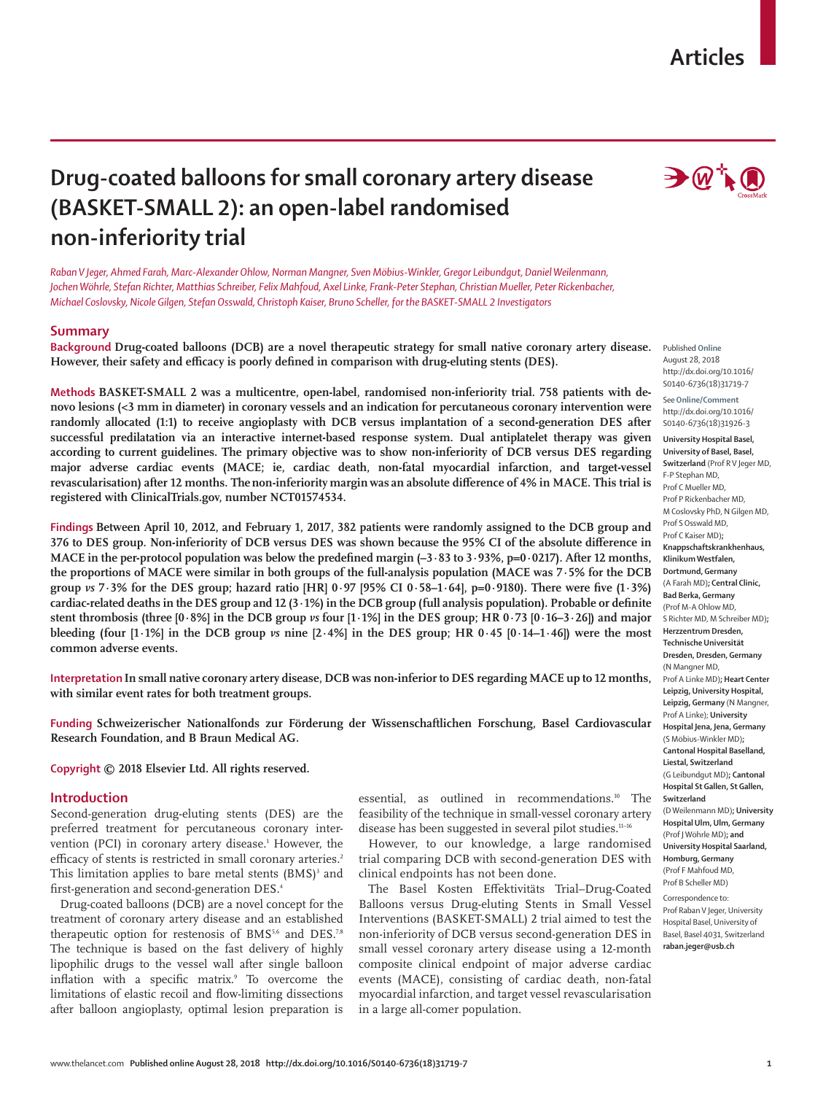## **Articles**

# **Drug-coated balloons for small coronary artery disease (BASKET-SMALL 2): an open-label randomised non-inferiority trial**

*Raban V Jeger, Ahmed Farah, Marc-Alexander Ohlow, Norman Mangner, Sven Möbius-Winkler, Gregor Leibundgut, Daniel Weilenmann, Jochen Wöhrle, Stefan Richter, Matthias Schreiber, Felix Mahfoud, Axel Linke, Frank-Peter Stephan, Christian Mueller, Peter Rickenbacher, Michael Coslovsky, Nicole Gilgen, Stefan Osswald, Christoph Kaiser, Bruno Scheller, for the BASKET-SMALL 2 Investigators*

## **Summary**

**Background Drug-coated balloons (DCB) are a novel therapeutic strategy for small native coronary artery disease.**  Published **Online However, their safety and efficacy is poorly defined in comparison with drug-eluting stents (DES).**

**Methods BASKET-SMALL 2 was a multicentre, open-label, randomised non-inferiority trial. 758 patients with denovo lesions (<3 mm in diameter) in coronary vessels and an indication for percutaneous coronary intervention were randomly allocated (1:1) to receive angioplasty with DCB versus implantation of a second-generation DES after successful predilatation via an interactive internet-based response system. Dual antiplatelet therapy was given according to current guidelines. The primary objective was to show non-inferiority of DCB versus DES regarding major adverse cardiac events (MACE; ie, cardiac death, non-fatal myocardial infarction, and target-vessel revascularisation) after 12 months. The non-inferiority margin was an absolute difference of 4% in MACE. This trial is registered with ClinicalTrials.gov, number NCT01574534.**

**Findings Between April 10, 2012, and February 1, 2017, 382 patients were randomly assigned to the DCB group and 376 to DES group. Non-inferiority of DCB versus DES was shown because the 95% CI of the absolute difference in MACE in the per-protocol population was below the predefined margin (–3·83 to 3·93%, p=0·0217). After 12 months, the proportions of MACE were similar in both groups of the full-analysis population (MACE was 7·5% for the DCB group** *vs* **7·3% for the DES group; hazard ratio [HR] 0·97 [95% CI 0·58–1·64], p=0·9180). There were five (1·3%) cardiac-related deaths in the DES group and 12 (3·1%) in the DCB group (full analysis population). Probable or definite stent thrombosis (three [0·8%] in the DCB group** *vs* **four [1·1%] in the DES group; HR 0·73 [0·16–3·26]) and major bleeding (four [1·1%] in the DCB group** *vs* **nine [2·4%] in the DES group; HR 0·45 [0·14–1·46]) were the most common adverse events.**

**Interpretation In small native coronary artery disease, DCB was non-inferior to DES regarding MACE up to 12 months, with similar event rates for both treatment groups.**

**Funding Schweizerischer Nationalfonds zur Förderung der Wissenschaftlichen Forschung, Basel Cardiovascular Research Foundation, and B Braun Medical AG.**

**Copyright © 2018 Elsevier Ltd. All rights reserved.**

## **Introduction**

Second-generation drug-eluting stents (DES) are the preferred treatment for percutaneous coronary intervention (PCI) in coronary artery disease.<sup>1</sup> However, the efficacy of stents is restricted in small coronary arteries.<sup>2</sup> This limitation applies to bare metal stents  $(BMS)^3$  and first-generation and second-generation DES.4

Drug-coated balloons (DCB) are a novel concept for the treatment of coronary artery disease and an established therapeutic option for restenosis of BMS<sup>5,6</sup> and DES.<sup>7,8</sup> The technique is based on the fast delivery of highly lipophilic drugs to the vessel wall after single balloon inflation with a specific matrix.9 To overcome the limitations of elastic recoil and flow-limiting dissections after balloon angioplasty, optimal lesion preparation is

essential, as outlined in recommendations.<sup>10</sup> The feasibility of the technique in small-vessel coronary artery disease has been suggested in several pilot studies.<sup>11-16</sup>

However, to our knowledge, a large randomised trial comparing DCB with second-generation DES with clinical endpoints has not been done.

The Basel Kosten Effektivitäts Trial–Drug-Coated Balloons versus Drug-eluting Stents in Small Vessel Interventions (BASKET-SMALL) 2 trial aimed to test the non-inferiority of DCB versus second-generation DES in small vessel coronary artery disease using a 12-month composite clinical endpoint of major adverse cardiac events (MACE), consisting of cardiac death, non-fatal myocardial infarction, and target vessel revascularisation in a large all-comer population.

 $\rightarrow$   $\mathbb{Q}$   $\uparrow$   $\circledcirc$ 

August 28, 2018 http://dx.doi.org/10.1016/ S0140-6736(18)31719-7

See**Online/Comment** http://dx.doi.org/10.1016/ S0140-6736(18)31926-3

**University Hospital Basel, University of Basel, Basel, Switzerland** (Prof R V Jeger MD, F-P Stephan MD, Prof C Mueller MD, Prof P Rickenbacher MD, M Coslovsky PhD, N Gilgen MD, Prof S Osswald MD, Prof C Kaiser MD)**; Knappschaftskrankhenhaus, Klinikum Westfalen, Dortmund, Germany**  (A Farah MD)**; Central Clinic, Bad Berka, Germany** (Prof M-A Ohlow MD, S Richter MD, M Schreiber MD)**; Herzzentrum Dresden, Technische Universität Dresden, Dresden, Germany**  (N Mangner MD, Prof A Linke MD)**; Heart Center Leipzig, University Hospital, Leipzig, Germany** (N Mangner, Prof A Linke); **University Hospital Jena, Jena, Germany** (S Möbius-Winkler MD)**; Cantonal Hospital Baselland, Liestal, Switzerland** (G Leibundgut MD)**; Cantonal Hospital St Gallen, St Gallen, Switzerland** (D Weilenmann MD)**; University Hospital Ulm, Ulm, Germany**  (Prof J Wöhrle MD)**; and University Hospital Saarland, Homburg, Germany**

Correspondence to: Prof Raban V Jeger, University Hospital Basel, University of Basel, Basel 4031, Switzerland **raban.jeger@usb.ch**

(Prof F Mahfoud MD, Prof B Scheller MD)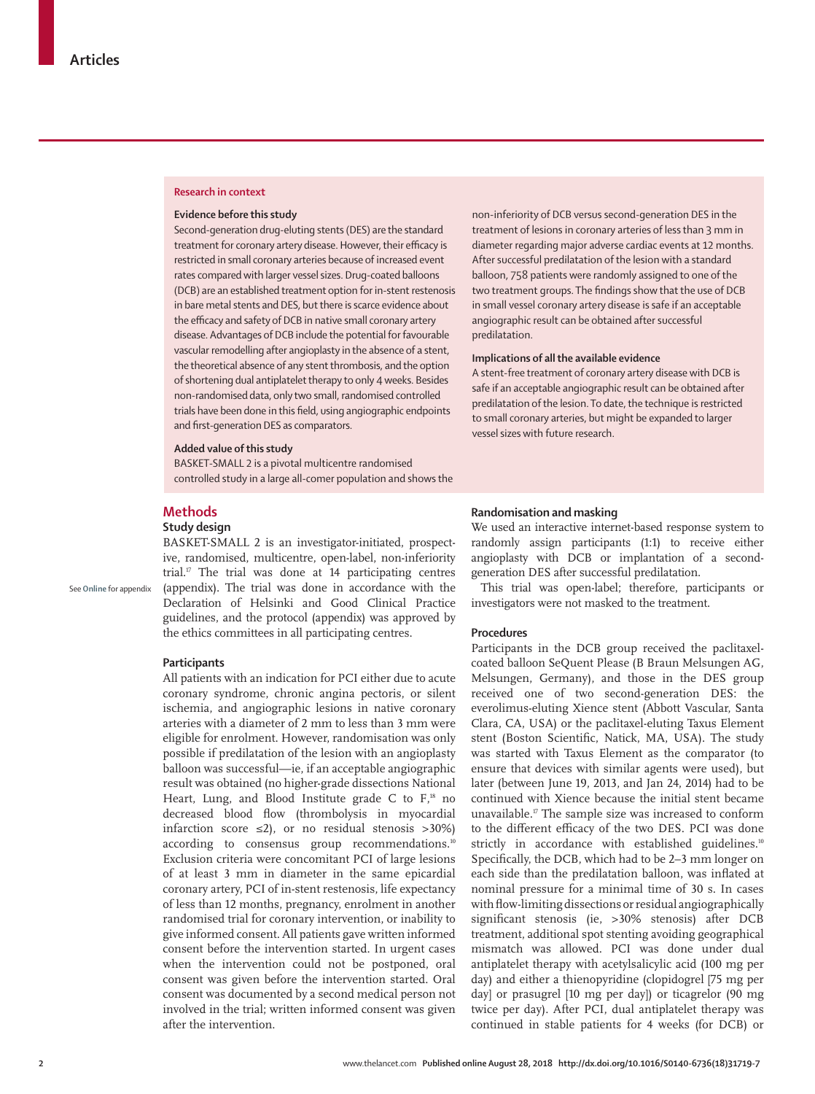## **Research in context**

#### **Evidence before this study**

Second-generation drug-eluting stents (DES) are the standard treatment for coronary artery disease. However, their efficacy is restricted in small coronary arteries because of increased event rates compared with larger vessel sizes. Drug-coated balloons (DCB) are an established treatment option for in-stent restenosis in bare metal stents and DES, but there is scarce evidence about the efficacy and safety of DCB in native small coronary artery disease. Advantages of DCB include the potential for favourable vascular remodelling after angioplasty in the absence of a stent, the theoretical absence of any stent thrombosis, and the option of shortening dual antiplatelet therapy to only 4 weeks. Besides non-randomised data, only two small, randomised controlled trials have been done in this field, using angiographic endpoints and first-generation DES as comparators.

#### **Added value of this study**

BASKET-SMALL 2 is a pivotal multicentre randomised controlled study in a large all-comer population and shows the

## **Methods**

See **Online** for appendix

## **Study design**

BASKET-SMALL 2 is an investigator-initiated, prospective, randomised, multicentre, open-label, non-inferiority trial. $\mathbb{I}^7$  The trial was done at 14 participating centres (appendix). The trial was done in accordance with the Declaration of Helsinki and Good Clinical Practice guidelines, and the protocol (appendix) was approved by the ethics committees in all participating centres.

### **Participants**

All patients with an indication for PCI either due to acute coronary syndrome, chronic angina pectoris, or silent ischemia, and angiographic lesions in native coronary arteries with a diameter of 2 mm to less than 3 mm were eligible for enrolment. However, randomisation was only possible if predilatation of the lesion with an angioplasty balloon was successful—ie, if an acceptable angiographic result was obtained (no higher-grade dissections National Heart, Lung, and Blood Institute grade C to  $F$ ,<sup>18</sup> no decreased blood flow (thrombolysis in myocardial infarction score  $\leq 2$ ), or no residual stenosis >30%) according to consensus group recommendations.<sup>10</sup> Exclusion criteria were concomitant PCI of large lesions of at least 3 mm in diameter in the same epicardial coronary artery, PCI of in-stent restenosis, life expectancy of less than 12 months, pregnancy, enrolment in another randomised trial for coronary intervention, or inability to give informed consent. All patients gave written informed consent before the intervention started. In urgent cases when the intervention could not be postponed, oral consent was given before the intervention started. Oral consent was documented by a second medical person not involved in the trial; written informed consent was given after the intervention.

non-inferiority of DCB versus second-generation DES in the treatment of lesions in coronary arteries of less than 3 mm in diameter regarding major adverse cardiac events at 12 months. After successful predilatation of the lesion with a standard balloon, 758 patients were randomly assigned to one of the two treatment groups. The findings show that the use of DCB in small vessel coronary artery disease is safe if an acceptable angiographic result can be obtained after successful predilatation.

## **Implications of all the available evidence**

A stent-free treatment of coronary artery disease with DCB is safe if an acceptable angiographic result can be obtained after predilatation of the lesion. To date, the technique is restricted to small coronary arteries, but might be expanded to larger vessel sizes with future research.

## **Randomisation and masking**

We used an interactive internet-based response system to randomly assign participants (1:1) to receive either angioplasty with DCB or implantation of a secondgeneration DES after successful predilatation.

This trial was open-label; therefore, participants or investigators were not masked to the treatment.

#### **Procedures**

Participants in the DCB group received the paclitaxelcoated balloon SeQuent Please (B Braun Melsungen AG, Melsungen, Germany), and those in the DES group received one of two second-generation DES: the everolimus-eluting Xience stent (Abbott Vascular, Santa Clara, CA, USA) or the paclitaxel-eluting Taxus Element stent (Boston Scientific, Natick, MA, USA). The study was started with Taxus Element as the comparator (to ensure that devices with similar agents were used), but later (between June 19, 2013, and Jan 24, 2014) had to be continued with Xience because the initial stent became unavailable.17 The sample size was increased to conform to the different efficacy of the two DES. PCI was done strictly in accordance with established guidelines.<sup>10</sup> Specifically, the DCB, which had to be 2–3 mm longer on each side than the predilatation balloon, was inflated at nominal pressure for a minimal time of 30 s. In cases with flow-limiting dissections or residual angiographically significant stenosis (ie, >30% stenosis) after DCB treatment, additional spot stenting avoiding geographical mismatch was allowed. PCI was done under dual antiplatelet therapy with acetylsalicylic acid (100 mg per day) and either a thienopyridine (clopidogrel [75 mg per day] or prasugrel [10 mg per day]) or ticagrelor (90 mg twice per day). After PCI, dual antiplatelet therapy was continued in stable patients for 4 weeks (for DCB) or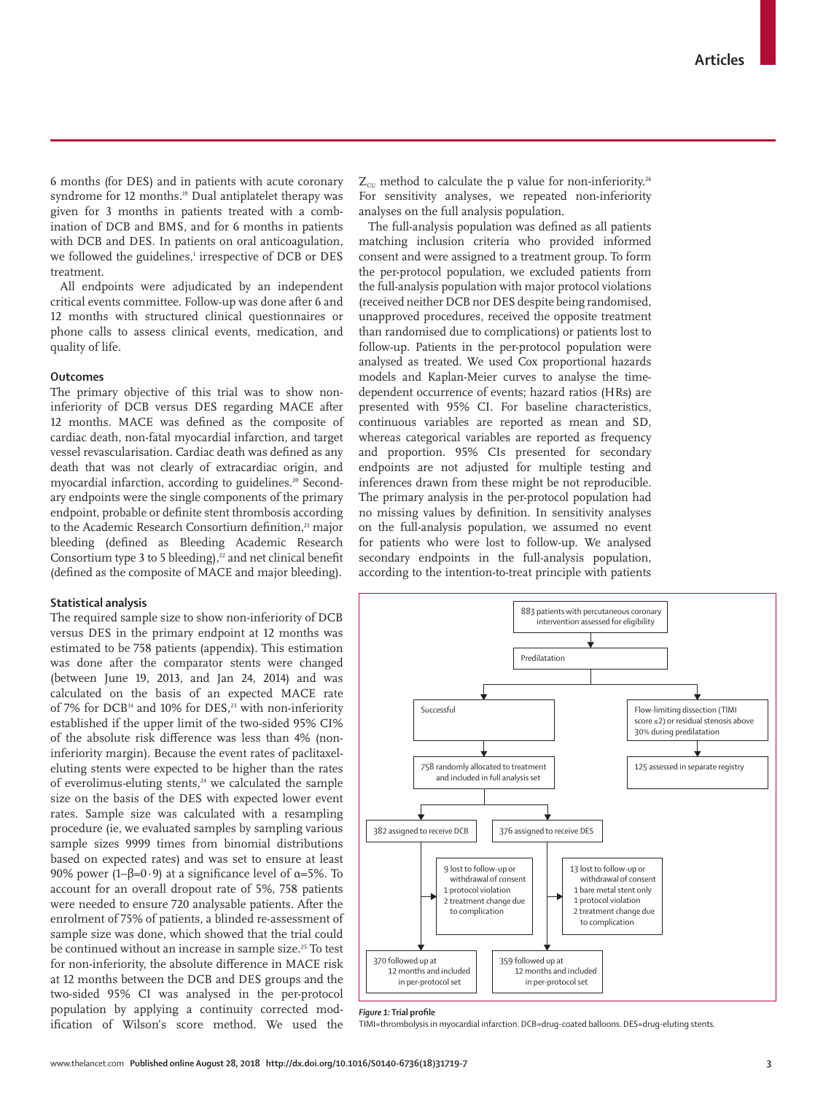6 months (for DES) and in patients with acute coronary syndrome for 12 months.<sup>19</sup> Dual antiplatelet therapy was given for 3 months in patients treated with a combination of DCB and BMS, and for 6 months in patients with DCB and DES. In patients on oral anticoagulation, we followed the guidelines,<sup>1</sup> irrespective of DCB or DES treatment.

All endpoints were adjudicated by an independent critical events committee. Follow-up was done after 6 and 12 months with structured clinical questionnaires or phone calls to assess clinical events, medication, and quality of life.

## **Outcomes**

The primary objective of this trial was to show noninferiority of DCB versus DES regarding MACE after 12 months. MACE was defined as the composite of cardiac death, non-fatal myocardial infarction, and target vessel revascularisation. Cardiac death was defined as any death that was not clearly of extracardiac origin, and myocardial infarction, according to guidelines.<sup>20</sup> Secondary endpoints were the single components of the primary endpoint, probable or definite stent thrombosis according to the Academic Research Consortium definition,<sup>21</sup> major bleeding (defined as Bleeding Academic Research Consortium type 3 to 5 bleeding), $^{22}$  and net clinical benefit (defined as the composite of MACE and major bleeding).

## **Statistical analysis**

The required sample size to show non-inferiority of DCB versus DES in the primary endpoint at 12 months was estimated to be 758 patients (appendix). This estimation was done after the comparator stents were changed (between June 19, 2013, and Jan 24, 2014) and was calculated on the basis of an expected MACE rate of 7% for DCB<sup>14</sup> and 10% for DES,<sup>23</sup> with non-inferiority established if the upper limit of the two-sided 95% CI% of the absolute risk difference was less than 4% (noninferiority margin). Because the event rates of paclitaxeleluting stents were expected to be higher than the rates of everolimus-eluting stents,<sup>24</sup> we calculated the sample size on the basis of the DES with expected lower event rates. Sample size was calculated with a resampling procedure (ie, we evaluated samples by sampling various sample sizes 9999 times from binomial distributions based on expected rates) and was set to ensure at least 90% power (1–β=0·9) at a significance level of  $\alpha$ =5%. To account for an overall dropout rate of 5%, 758 patients were needed to ensure 720 analysable patients. After the enrolment of 75% of patients, a blinded re-assessment of sample size was done, which showed that the trial could be continued without an increase in sample size.<sup>25</sup> To test for non-inferiority, the absolute difference in MACE risk at 12 months between the DCB and DES groups and the two-sided 95% CI was analysed in the per-protocol population by applying a continuity corrected modification of Wilson's score method. We used the

 $Z_{\text{cut}}$  method to calculate the p value for non-inferiority.<sup>26</sup> For sensitivity analyses, we repeated non-inferiority analyses on the full analysis population.

The full-analysis population was defined as all patients matching inclusion criteria who provided informed consent and were assigned to a treatment group. To form the per-protocol population, we excluded patients from the full-analysis population with major protocol violations (received neither DCB nor DES despite being randomised, unapproved procedures, received the opposite treatment than randomised due to complications) or patients lost to follow-up. Patients in the per-protocol population were analysed as treated. We used Cox proportional hazards models and Kaplan-Meier curves to analyse the timedependent occurrence of events; hazard ratios (HRs) are presented with 95% CI. For baseline characteristics, continuous variables are reported as mean and SD, whereas categorical variables are reported as frequency and proportion. 95% CIs presented for secondary endpoints are not adjusted for multiple testing and inferences drawn from these might be not reproducible. The primary analysis in the per-protocol population had no missing values by definition. In sensitivity analyses on the full-analysis population, we assumed no event for patients who were lost to follow-up. We analysed secondary endpoints in the full-analysis population, according to the intention-to-treat principle with patients



*Figure 1:* **Trial profile**

TIMI=thrombolysis in myocardial infarction. DCB=drug-coated balloons. DES=drug-eluting stents.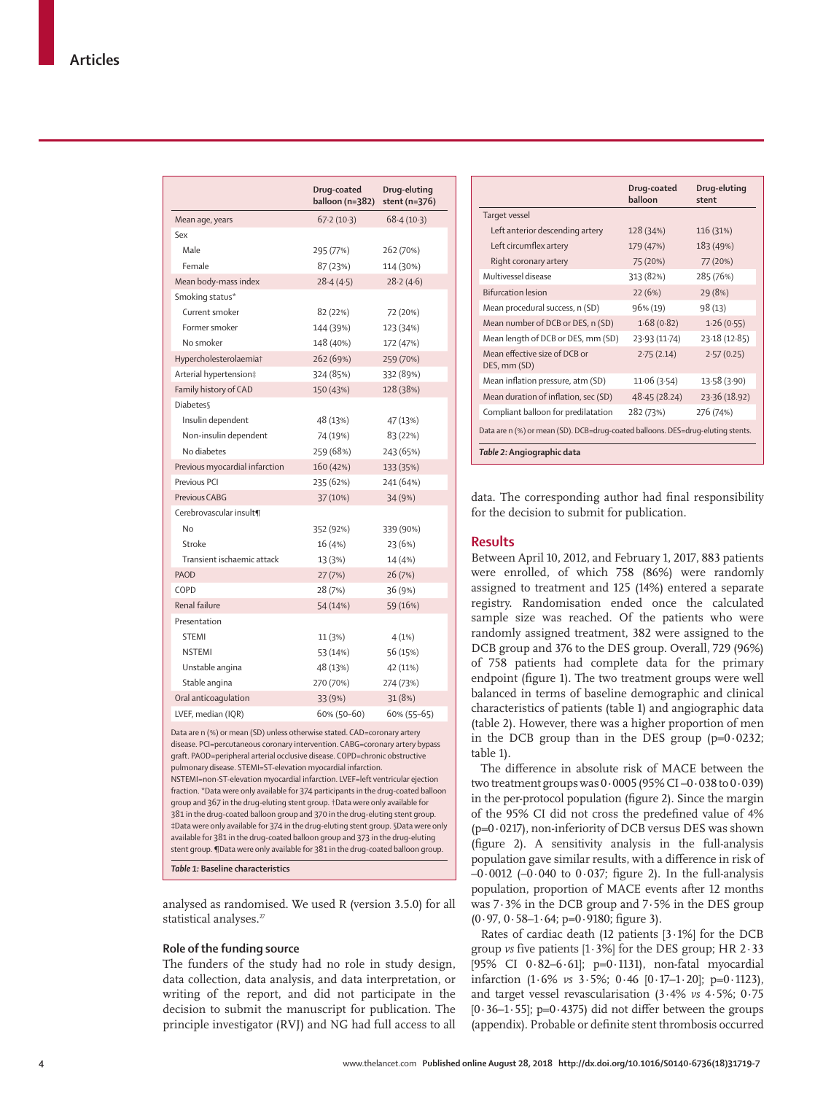|                                                                                                                                                                                                                                        | Drug-coated<br>balloon (n=382) | Drug-eluting<br>stent (n=376) |
|----------------------------------------------------------------------------------------------------------------------------------------------------------------------------------------------------------------------------------------|--------------------------------|-------------------------------|
| Mean age, years                                                                                                                                                                                                                        | 67.2(10.3)                     | 68.4(10.3)                    |
| Sex                                                                                                                                                                                                                                    |                                |                               |
| Male                                                                                                                                                                                                                                   | 295 (77%)                      | 262 (70%)                     |
| Female                                                                                                                                                                                                                                 | 87 (23%)                       | 114 (30%)                     |
| Mean body-mass index                                                                                                                                                                                                                   | 28.4(4.5)                      | 28.2(4.6)                     |
| Smoking status*                                                                                                                                                                                                                        |                                |                               |
| Current smoker                                                                                                                                                                                                                         | 82 (22%)                       | 72 (20%)                      |
| Former smoker                                                                                                                                                                                                                          | 144 (39%)                      | 123 (34%)                     |
| No smoker                                                                                                                                                                                                                              | 148 (40%)                      | 172 (47%)                     |
| Hypercholesterolaemia†                                                                                                                                                                                                                 | 262 (69%)                      | 259 (70%)                     |
| Arterial hypertension‡                                                                                                                                                                                                                 | 324 (85%)                      | 332 (89%)                     |
| Family history of CAD                                                                                                                                                                                                                  | 150 (43%)                      | 128 (38%)                     |
| <b>Diabetes</b>                                                                                                                                                                                                                        |                                |                               |
| Insulin dependent                                                                                                                                                                                                                      | 48 (13%)                       | 47 (13%)                      |
| Non-insulin dependent                                                                                                                                                                                                                  | 74 (19%)                       | 83 (22%)                      |
| No diabetes                                                                                                                                                                                                                            | 259 (68%)                      | 243 (65%)                     |
| Previous myocardial infarction                                                                                                                                                                                                         | 160 (42%)                      | 133 (35%)                     |
| Previous PCI                                                                                                                                                                                                                           | 235 (62%)                      | 241 (64%)                     |
| Previous CABG                                                                                                                                                                                                                          | 37 (10%)                       | 34 (9%)                       |
| Cerebrovascular insult¶                                                                                                                                                                                                                |                                |                               |
| <b>No</b>                                                                                                                                                                                                                              | 352 (92%)                      | 339 (90%)                     |
| Stroke                                                                                                                                                                                                                                 | 16 (4%)                        | 23 (6%)                       |
| Transient ischaemic attack                                                                                                                                                                                                             | 13 (3%)                        | 14 (4%)                       |
| PAOD                                                                                                                                                                                                                                   | 27 (7%)                        | 26(7%)                        |
| COPD                                                                                                                                                                                                                                   | 28 (7%)                        | 36 (9%)                       |
| Renal failure                                                                                                                                                                                                                          | 54 (14%)                       | 59 (16%)                      |
| Presentation                                                                                                                                                                                                                           |                                |                               |
| <b>STEMI</b>                                                                                                                                                                                                                           | 11 (3%)                        | 4(1%)                         |
| <b>NSTEMI</b>                                                                                                                                                                                                                          | 53 (14%)                       | 56 (15%)                      |
| Unstable angina                                                                                                                                                                                                                        | 48 (13%)                       | 42 (11%)                      |
| Stable angina                                                                                                                                                                                                                          | 270 (70%)                      | 274 (73%)                     |
| Oral anticoaqulation                                                                                                                                                                                                                   | 33 (9%)                        | 31 (8%)                       |
| LVEF, median (IQR)                                                                                                                                                                                                                     | 60% (50-60)                    | 60% (55-65)                   |
| Data are n (%) or mean (SD) unless otherwise stated. CAD=coronary artery<br>disease. PCI=percutaneous coronary intervention. CABG=coronary artery bypass<br>araft, PAOD-peripheral arterial occlusive disease COPD-chronic obstructive |                                |                               |

graft. PAOD=peripheral arterial occlusive disease. COPD=chronic obstructive pulmonary disease. STEMI=ST-elevation myocardial infarction. NSTEMI=non-ST-elevation myocardial infarction. LVEF=left ventricular ejection fraction. \*Data were only available for 374 participants in the drug-coated balloon group and 367 in the drug-eluting stent group. †Data were only available for 381 in the drug-coated balloon group and 370 in the drug-eluting stent group. ‡Data were only available for 374 in the drug-eluting stent group. §Data were only available for 381 in the drug-coated balloon group and 373 in the drug-eluting stent group. ¶Data were only available for 381 in the drug-coated balloon group.

*Table 1:* **Baseline characteristics**

analysed as randomised. We used R (version 3.5.0) for all statistical analyses.<sup>27</sup>

### **Role of the funding source**

The funders of the study had no role in study design, data collection, data analysis, and data interpretation, or writing of the report, and did not participate in the decision to submit the manuscript for publication. The principle investigator (RVJ) and NG had full access to all

| Drug-eluting  | stent | Drug-coated<br>balloon |                                                                                 |
|---------------|-------|------------------------|---------------------------------------------------------------------------------|
|               |       |                        | Target vessel                                                                   |
| 116 (31%)     |       | 128 (34%)              | Left anterior descending artery                                                 |
| 183 (49%)     |       | 179 (47%)              | Left circumflex artery                                                          |
| 77 (20%)      |       | 75 (20%)               | Right coronary artery                                                           |
| 285 (76%)     |       | 313 (82%)              | Multivessel disease                                                             |
| 29 (8%)       |       | 22(6%)                 | <b>Bifurcation lesion</b>                                                       |
| 98(13)        |       | 96% (19)               | Mean procedural success, n (SD)                                                 |
| 1.26(0.55)    |       | 1.68(0.82)             | Mean number of DCB or DES, n (SD)                                               |
| 23.18(12.85)  |       | 23.93 (11.74)          | Mean length of DCB or DES, mm (SD)                                              |
| 2.57(0.25)    |       | 2.75(2.14)             | Mean effective size of DCB or<br>DES, mm (SD)                                   |
| 13.58 (3.90)  |       | 11.06(3.54)            | Mean inflation pressure, atm (SD)                                               |
| 23.36 (18.92) |       | 48.45(28.24)           | Mean duration of inflation, sec (SD)                                            |
| 276 (74%)     |       | 282 (73%)              | Compliant balloon for predilatation                                             |
|               |       |                        | Data are n (%) or mean (SD). DCB=drug-coated balloons. DES=drug-eluting stents. |
|               |       |                        | Table 2: Angiographic data                                                      |

data. The corresponding author had final responsibility for the decision to submit for publication.

### **Results**

Between April 10, 2012, and February 1, 2017, 883 patients were enrolled, of which 758 (86%) were randomly assigned to treatment and 125 (14%) entered a separate registry. Randomisation ended once the calculated sample size was reached. Of the patients who were randomly assigned treatment, 382 were assigned to the DCB group and 376 to the DES group. Overall, 729 (96%) of 758 patients had complete data for the primary endpoint (figure 1). The two treatment groups were well balanced in terms of baseline demographic and clinical characteristics of patients (table 1) and angiographic data (table 2). However, there was a higher proportion of men in the DCB group than in the DES group  $(p=0.0232)$ ; table 1).

The difference in absolute risk of MACE between the two treatment groups was  $0.0005$  (95% CI $-0.038$  to  $0.039$ ) in the per-protocol population (figure 2). Since the margin of the 95% CI did not cross the predefined value of 4%  $(p=0.0217)$ , non-inferiority of DCB versus DES was shown (figure 2). A sensitivity analysis in the full-analysis population gave similar results, with a difference in risk of  $-0.0012$  ( $-0.040$  to 0.037; figure 2). In the full-analysis population, proportion of MACE events after 12 months was 7·3% in the DCB group and 7·5% in the DES group  $(0.97, 0.58 - 1.64; p=0.9180;$  figure 3).

Rates of cardiac death (12 patients [3·1%] for the DCB group *vs* five patients [1·3%] for the DES group; HR 2·33 [95% CI 0·82–6·61]; p=0·1131), non-fatal myocardial infarction (1·6% *vs* 3·5%; 0·46 [0·17–1·20]; p=0·1123), and target vessel revascularisation (3·4% *vs* 4·5%; 0·75  $[0.36-1.55]$ ; p=0.4375) did not differ between the groups (appendix). Probable or definite stent thrombosis occurred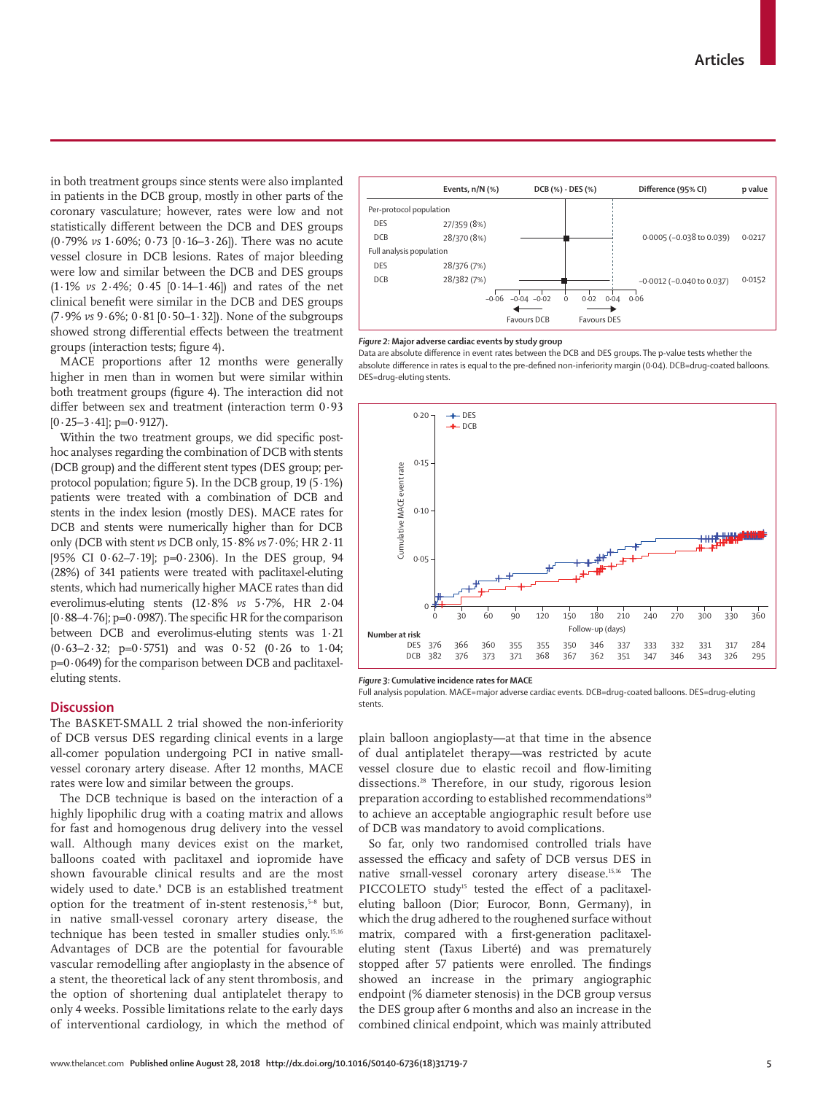in both treatment groups since stents were also implanted in patients in the DCB group, mostly in other parts of the coronary vasculature; however, rates were low and not statistically different between the DCB and DES groups (0·79% *vs* 1·60%; 0·73 [0·16–3·26]). There was no acute vessel closure in DCB lesions. Rates of major bleeding were low and similar between the DCB and DES groups (1·1% *vs* 2·4%; 0·45 [0·14–1·46]) and rates of the net clinical benefit were similar in the DCB and DES groups (7·9% *vs* 9·6%; 0·81 [0·50–1·32]). None of the subgroups showed strong differential effects between the treatment groups (interaction tests; figure 4).

MACE proportions after 12 months were generally higher in men than in women but were similar within both treatment groups (figure 4). The interaction did not differ between sex and treatment (interaction term 0·93  $[0.25-3.41]$ ; p=0.9127).

Within the two treatment groups, we did specific posthoc analyses regarding the combination of DCB with stents (DCB group) and the different stent types (DES group; perprotocol population; figure 5). In the DCB group, 19 (5·1%) patients were treated with a combination of DCB and stents in the index lesion (mostly DES). MACE rates for DCB and stents were numerically higher than for DCB only (DCB with stent *vs* DCB only, 15·8% *vs* 7·0%; HR 2·11 [95% CI  $0.62-7.19$ ]; p= $0.2306$ ). In the DES group, 94 (28%) of 341 patients were treated with paclitaxel-eluting stents, which had numerically higher MACE rates than did everolimus-eluting stents (12·8% *vs* 5·7%, HR 2·04  $[0.88-4.76]$ ; p=0.0987). The specific HR for the comparison between DCB and everolimus-eluting stents was 1·21  $(0.63-2.32; p=0.5751)$  and was  $0.52$   $(0.26$  to  $1.04;$ p=0·0649) for the comparison between DCB and paclitaxeleluting stents.

## **Discussion**

The BASKET-SMALL 2 trial showed the non-inferiority of DCB versus DES regarding clinical events in a large all-comer population undergoing PCI in native smallvessel coronary artery disease. After 12 months, MACE rates were low and similar between the groups.

The DCB technique is based on the interaction of a highly lipophilic drug with a coating matrix and allows for fast and homogenous drug delivery into the vessel wall. Although many devices exist on the market, balloons coated with paclitaxel and iopromide have shown favourable clinical results and are the most widely used to date.9 DCB is an established treatment option for the treatment of in-stent restenosis,<sup>5-8</sup> but, in native small-vessel coronary artery disease, the technique has been tested in smaller studies only.15,16 Advantages of DCB are the potential for favourable vascular remodelling after angioplasty in the absence of a stent, the theoretical lack of any stent thrombosis, and the option of shortening dual antiplatelet therapy to only 4 weeks. Possible limitations relate to the early days of interventional cardiology, in which the method of



#### *Figure 2:* **Major adverse cardiac events by study group**

Data are absolute difference in event rates between the DCB and DES groups. The p-value tests whether the absolute difference in rates is equal to the pre-defined non-inferiority margin (0·04). DCB=drug-coated balloons. DES=drug-eluting stents.



*Figure 3:* **Cumulative incidence rates for MACE**

Full analysis population. MACE=major adverse cardiac events. DCB=drug-coated balloons. DES=drug-eluting stents.

plain balloon angioplasty—at that time in the absence of dual antiplatelet therapy—was restricted by acute vessel closure due to elastic recoil and flow-limiting dissections.28 Therefore, in our study, rigorous lesion preparation according to established recommendations<sup>10</sup> to achieve an acceptable angiographic result before use of DCB was mandatory to avoid complications.

So far, only two randomised controlled trials have assessed the efficacy and safety of DCB versus DES in native small-vessel coronary artery disease.15,16 The PICCOLETO study<sup>15</sup> tested the effect of a paclitaxeleluting balloon (Dior; Eurocor, Bonn, Germany), in which the drug adhered to the roughened surface without matrix, compared with a first-generation paclitaxeleluting stent (Taxus Liberté) and was prematurely stopped after 57 patients were enrolled. The findings showed an increase in the primary angiographic endpoint (% diameter stenosis) in the DCB group versus the DES group after 6 months and also an increase in the combined clinical endpoint, which was mainly attributed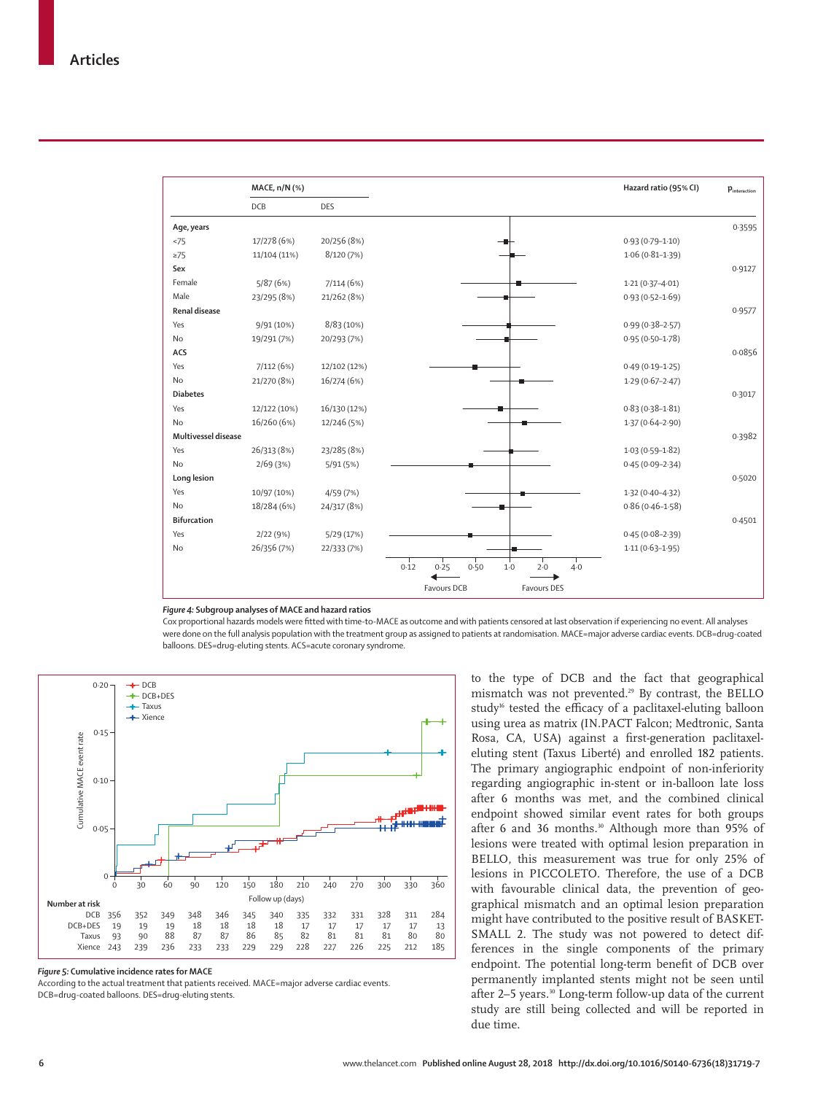

## *Figure 4:* **Subgroup analyses of MACE and hazard ratios**

Cox proportional hazards models were fitted with time-to-MACE as outcome and with patients censored at last observation if experiencing no event. All analyses were done on the full analysis population with the treatment group as assigned to patients at randomisation. MACE=major adverse cardiac events. DCB=drug-coated balloons. DES=drug-eluting stents. ACS=acute coronary syndrome.



*Figure 5:* **Cumulative incidence rates for MACE**

According to the actual treatment that patients received. MACE=major adverse cardiac events. DCB=drug-coated balloons. DES=drug-eluting stents.

to the type of DCB and the fact that geographical mismatch was not prevented.29 By contrast, the BELLO study<sup>16</sup> tested the efficacy of a paclitaxel-eluting balloon using urea as matrix (IN.PACT Falcon; Medtronic, Santa Rosa, CA, USA) against a first-generation paclitaxeleluting stent (Taxus Liberté) and enrolled 182 patients. The primary angiographic endpoint of non-inferiority regarding angiographic in-stent or in-balloon late loss after 6 months was met, and the combined clinical endpoint showed similar event rates for both groups after 6 and 36 months.<sup>30</sup> Although more than 95% of lesions were treated with optimal lesion preparation in BELLO, this measurement was true for only 25% of lesions in PICCOLETO. Therefore, the use of a DCB with favourable clinical data, the prevention of geographical mismatch and an optimal lesion preparation might have contributed to the positive result of BASKET-SMALL 2. The study was not powered to detect differences in the single components of the primary endpoint. The potential long-term benefit of DCB over permanently implanted stents might not be seen until after 2-5 years.<sup>30</sup> Long-term follow-up data of the current study are still being collected and will be reported in due time.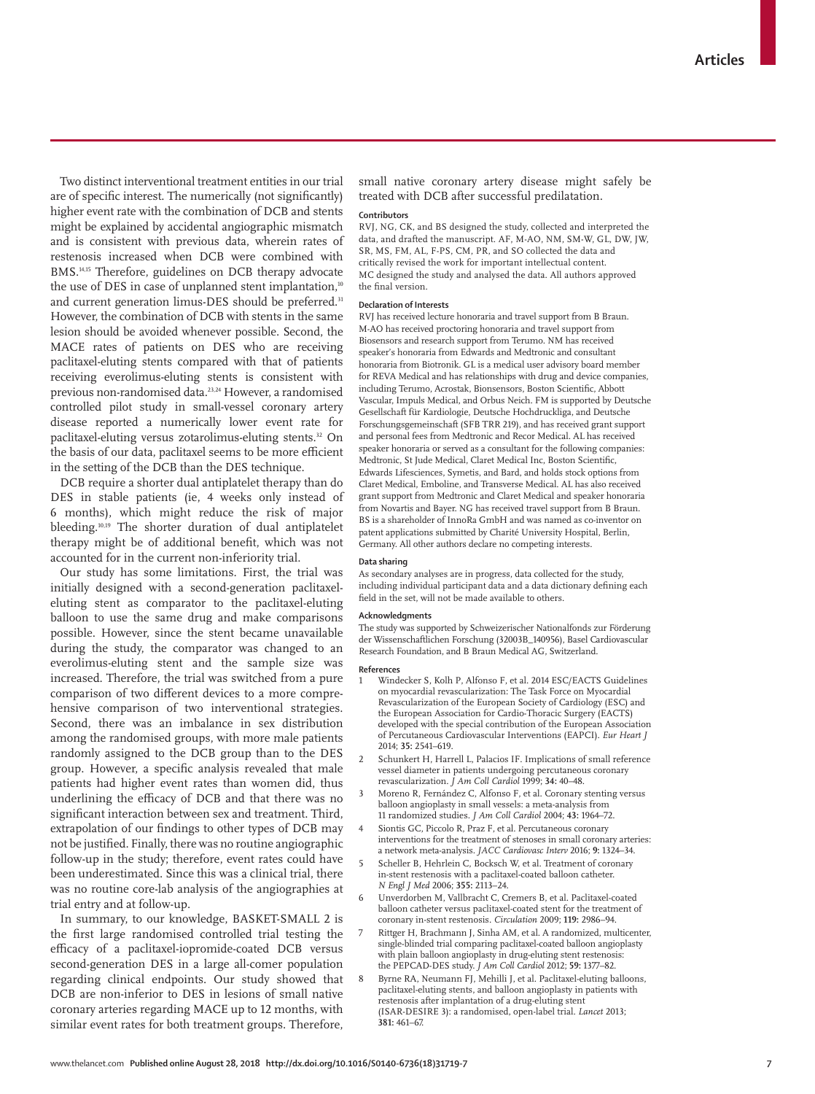Two distinct interventional treatment entities in our trial are of specific interest. The numerically (not significantly) higher event rate with the combination of DCB and stents might be explained by accidental angiographic mismatch and is consistent with previous data, wherein rates of restenosis increased when DCB were combined with BMS.14,15 Therefore, guidelines on DCB therapy advocate the use of DES in case of unplanned stent implantation,<sup>10</sup> and current generation limus-DES should be preferred.<sup>31</sup> However, the combination of DCB with stents in the same lesion should be avoided whenever possible. Second, the MACE rates of patients on DES who are receiving paclitaxel-eluting stents compared with that of patients receiving everolimus-eluting stents is consistent with previous non-randomised data.23,24 However, a randomised controlled pilot study in small-vessel coronary artery disease reported a numerically lower event rate for paclitaxel-eluting versus zotarolimus-eluting stents.<sup>32</sup> On the basis of our data, paclitaxel seems to be more efficient in the setting of the DCB than the DES technique.

DCB require a shorter dual antiplatelet therapy than do DES in stable patients (ie, 4 weeks only instead of 6 months), which might reduce the risk of major bleeding.10,19 The shorter duration of dual antiplatelet therapy might be of additional benefit, which was not accounted for in the current non-inferiority trial.

Our study has some limitations. First, the trial was initially designed with a second-generation paclitaxeleluting stent as comparator to the paclitaxel-eluting balloon to use the same drug and make comparisons possible. However, since the stent became unavailable during the study, the comparator was changed to an everolimus-eluting stent and the sample size was increased. Therefore, the trial was switched from a pure comparison of two different devices to a more comprehensive comparison of two interventional strategies. Second, there was an imbalance in sex distribution among the randomised groups, with more male patients randomly assigned to the DCB group than to the DES group. However, a specific analysis revealed that male patients had higher event rates than women did, thus underlining the efficacy of DCB and that there was no significant interaction between sex and treatment. Third, extrapolation of our findings to other types of DCB may not be justified. Finally, there was no routine angiographic follow-up in the study; therefore, event rates could have been underestimated. Since this was a clinical trial, there was no routine core-lab analysis of the angiographies at trial entry and at follow-up.

In summary, to our knowledge, BASKET-SMALL 2 is the first large randomised controlled trial testing the efficacy of a paclitaxel-iopromide-coated DCB versus second-generation DES in a large all-comer population regarding clinical endpoints. Our study showed that DCB are non-inferior to DES in lesions of small native coronary arteries regarding MACE up to 12 months, with similar event rates for both treatment groups. Therefore,

small native coronary artery disease might safely be treated with DCB after successful predilatation.

## **Contributors**

RVJ, NG, CK, and BS designed the study, collected and interpreted the data, and drafted the manuscript. AF, M-AO, NM, SM-W, GL, DW, JW, SR, MS, FM, AL, F-PS, CM, PR, and SO collected the data and critically revised the work for important intellectual content. MC designed the study and analysed the data. All authors approved the final version.

#### **Declaration of Interests**

RVJ has received lecture honoraria and travel support from B Braun. M-AO has received proctoring honoraria and travel support from Biosensors and research support from Terumo. NM has received speaker's honoraria from Edwards and Medtronic and consultant honoraria from Biotronik. GL is a medical user advisory board member for REVA Medical and has relationships with drug and device companies, including Terumo, Acrostak, Bionsensors, Boston Scientific, Abbott Vascular, Impuls Medical, and Orbus Neich. FM is supported by Deutsche Gesellschaft für Kardiologie, Deutsche Hochdruckliga, and Deutsche Forschungsgemeinschaft (SFB TRR 219), and has received grant support and personal fees from Medtronic and Recor Medical. AL has received speaker honoraria or served as a consultant for the following companies: Medtronic, St Jude Medical, Claret Medical Inc, Boston Scientific, Edwards Lifesciences, Symetis, and Bard, and holds stock options from Claret Medical, Emboline, and Transverse Medical. AL has also received grant support from Medtronic and Claret Medical and speaker honoraria from Novartis and Bayer. NG has received travel support from B Braun. BS is a shareholder of InnoRa GmbH and was named as co-inventor on patent applications submitted by Charité University Hospital, Berlin, Germany. All other authors declare no competing interests.

#### **Data sharing**

As secondary analyses are in progress, data collected for the study, including individual participant data and a data dictionary defining each field in the set, will not be made available to others.

#### **Acknowledgments**

The study was supported by Schweizerischer Nationalfonds zur Förderung der Wissenschaftlichen Forschung (32003B\_140956), Basel Cardiovascular Research Foundation, and B Braun Medical AG, Switzerland.

#### **References**

- 1 Windecker S, Kolh P, Alfonso F, et al. 2014 ESC/EACTS Guidelines on myocardial revascularization: The Task Force on Myocardial Revascularization of the European Society of Cardiology (ESC) and the European Association for Cardio-Thoracic Surgery (EACTS) developed with the special contribution of the European Association of Percutaneous Cardiovascular Interventions (EAPCI). *Eur Heart J* 2014; **35:** 2541–619.
- Schunkert H, Harrell L, Palacios IF. Implications of small reference vessel diameter in patients undergoing percutaneous coronary revascularization. *J Am Coll Cardiol* 1999; **34:** 40–48.
- 3 Moreno R, Fernández C, Alfonso F, et al. Coronary stenting versus balloon angioplasty in small vessels: a meta-analysis from 11 randomized studies. *J Am Coll Cardiol* 2004; **43:** 1964–72.
- Siontis GC, Piccolo R, Praz F, et al. Percutaneous coronary interventions for the treatment of stenoses in small coronary arteries: a network meta-analysis. *JACC Cardiovasc Interv* 2016; **9:** 1324–34.
- 5 Scheller B, Hehrlein C, Bocksch W, et al. Treatment of coronary in-stent restenosis with a paclitaxel-coated balloon catheter. *N Engl J Med* 2006; **355:** 2113–24.
- 6 Unverdorben M, Vallbracht C, Cremers B, et al. Paclitaxel-coated balloon catheter versus paclitaxel-coated stent for the treatment of coronary in-stent restenosis. *Circulation* 2009; **119:** 2986–94.
- 7 Rittger H, Brachmann J, Sinha AM, et al. A randomized, multicenter, single-blinded trial comparing paclitaxel-coated balloon angioplasty with plain balloon angioplasty in drug-eluting stent restenosis: the PEPCAD-DES study. *J Am Coll Cardiol* 2012; **59:** 1377–82.
- 8 Byrne RA, Neumann FJ, Mehilli J, et al. Paclitaxel-eluting balloons, paclitaxel-eluting stents, and balloon angioplasty in patients with restenosis after implantation of a drug-eluting stent (ISAR-DESIRE 3): a randomised, open-label trial. *Lancet* 2013; **381:** 461–67.